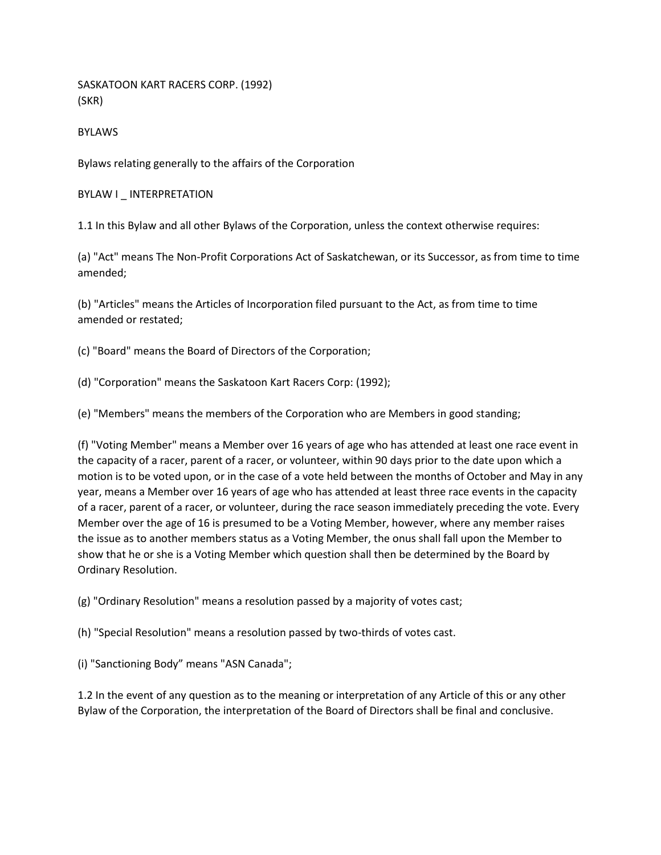SASKATOON KART RACERS CORP. (1992) (SKR)

BYLAWS

Bylaws relating generally to the affairs of the Corporation

BYLAW I \_ INTERPRETATION

1.1 In this Bylaw and all other Bylaws of the Corporation, unless the context otherwise requires:

(a) "Act" means The Non-Profit Corporations Act of Saskatchewan, or its Successor, as from time to time amended;

(b) "Articles" means the Articles of Incorporation filed pursuant to the Act, as from time to time amended or restated;

(c) "Board" means the Board of Directors of the Corporation;

(d) "Corporation" means the Saskatoon Kart Racers Corp: (1992);

(e) "Members" means the members of the Corporation who are Members in good standing;

(f) "Voting Member" means a Member over 16 years of age who has attended at least one race event in the capacity of a racer, parent of a racer, or volunteer, within 90 days prior to the date upon which a motion is to be voted upon, or in the case of a vote held between the months of October and May in any year, means a Member over 16 years of age who has attended at least three race events in the capacity of a racer, parent of a racer, or volunteer, during the race season immediately preceding the vote. Every Member over the age of 16 is presumed to be a Voting Member, however, where any member raises the issue as to another members status as a Voting Member, the onus shall fall upon the Member to show that he or she is a Voting Member which question shall then be determined by the Board by Ordinary Resolution.

(g) "Ordinary Resolution" means a resolution passed by a majority of votes cast;

(h) "Special Resolution" means a resolution passed by two-thirds of votes cast.

(i) "Sanctioning Body" means "ASN Canada";

1.2 In the event of any question as to the meaning or interpretation of any Article of this or any other Bylaw of the Corporation, the interpretation of the Board of Directors shall be final and conclusive.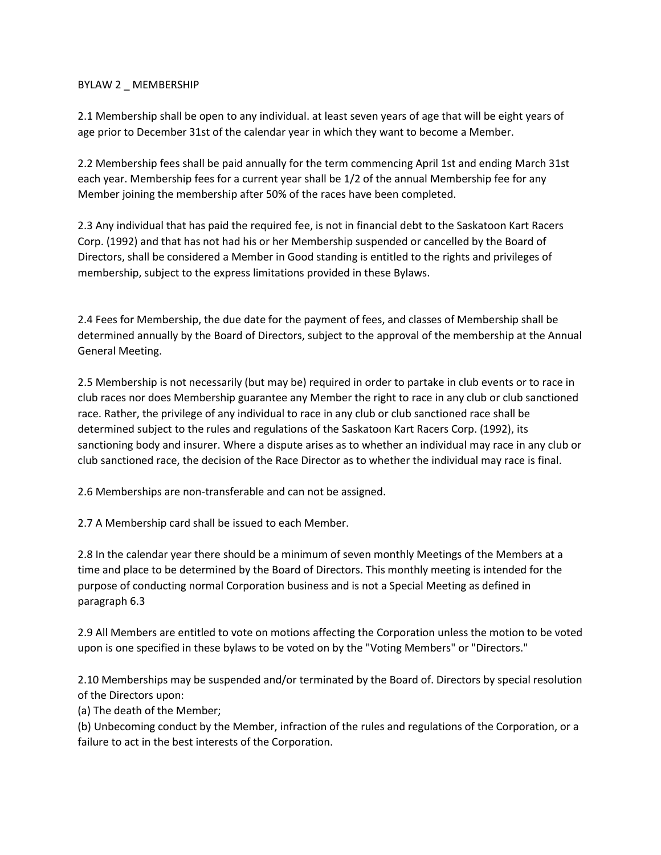### BYLAW 2 \_ MEMBERSHIP

2.1 Membership shall be open to any individual. at least seven years of age that will be eight years of age prior to December 31st of the calendar year in which they want to become a Member.

2.2 Membership fees shall be paid annually for the term commencing April 1st and ending March 31st each year. Membership fees for a current year shall be 1/2 of the annual Membership fee for any Member joining the membership after 50% of the races have been completed.

2.3 Any individual that has paid the required fee, is not in financial debt to the Saskatoon Kart Racers Corp. (1992) and that has not had his or her Membership suspended or cancelled by the Board of Directors, shall be considered a Member in Good standing is entitled to the rights and privileges of membership, subject to the express limitations provided in these Bylaws.

2.4 Fees for Membership, the due date for the payment of fees, and classes of Membership shall be determined annually by the Board of Directors, subject to the approval of the membership at the Annual General Meeting.

2.5 Membership is not necessarily (but may be) required in order to partake in club events or to race in club races nor does Membership guarantee any Member the right to race in any club or club sanctioned race. Rather, the privilege of any individual to race in any club or club sanctioned race shall be determined subject to the rules and regulations of the Saskatoon Kart Racers Corp. (1992), its sanctioning body and insurer. Where a dispute arises as to whether an individual may race in any club or club sanctioned race, the decision of the Race Director as to whether the individual may race is final.

2.6 Memberships are non-transferable and can not be assigned.

2.7 A Membership card shall be issued to each Member.

2.8 In the calendar year there should be a minimum of seven monthly Meetings of the Members at a time and place to be determined by the Board of Directors. This monthly meeting is intended for the purpose of conducting normal Corporation business and is not a Special Meeting as defined in paragraph 6.3

2.9 All Members are entitled to vote on motions affecting the Corporation unless the motion to be voted upon is one specified in these bylaws to be voted on by the "Voting Members" or "Directors."

2.10 Memberships may be suspended and/or terminated by the Board of. Directors by special resolution of the Directors upon:

(a) The death of the Member;

(b) Unbecoming conduct by the Member, infraction of the rules and regulations of the Corporation, or a failure to act in the best interests of the Corporation.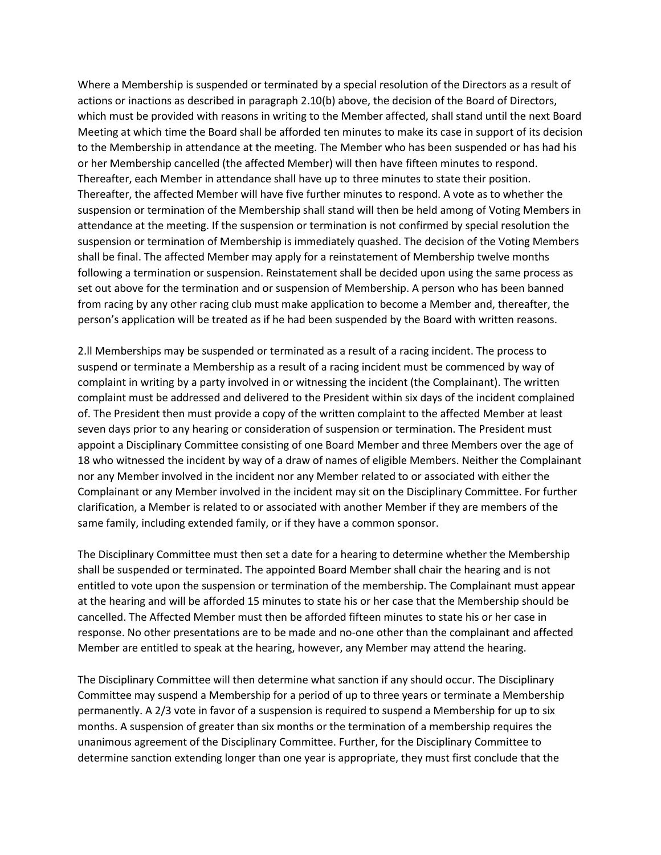Where a Membership is suspended or terminated by a special resolution of the Directors as a result of actions or inactions as described in paragraph 2.10(b) above, the decision of the Board of Directors, which must be provided with reasons in writing to the Member affected, shall stand until the next Board Meeting at which time the Board shall be afforded ten minutes to make its case in support of its decision to the Membership in attendance at the meeting. The Member who has been suspended or has had his or her Membership cancelled (the affected Member) will then have fifteen minutes to respond. Thereafter, each Member in attendance shall have up to three minutes to state their position. Thereafter, the affected Member will have five further minutes to respond. A vote as to whether the suspension or termination of the Membership shall stand will then be held among of Voting Members in attendance at the meeting. If the suspension or termination is not confirmed by special resolution the suspension or termination of Membership is immediately quashed. The decision of the Voting Members shall be final. The affected Member may apply for a reinstatement of Membership twelve months following a termination or suspension. Reinstatement shall be decided upon using the same process as set out above for the termination and or suspension of Membership. A person who has been banned from racing by any other racing club must make application to become a Member and, thereafter, the person's application will be treated as if he had been suspended by the Board with written reasons.

2.ll Memberships may be suspended or terminated as a result of a racing incident. The process to suspend or terminate a Membership as a result of a racing incident must be commenced by way of complaint in writing by a party involved in or witnessing the incident (the Complainant). The written complaint must be addressed and delivered to the President within six days of the incident complained of. The President then must provide a copy of the written complaint to the affected Member at least seven days prior to any hearing or consideration of suspension or termination. The President must appoint a Disciplinary Committee consisting of one Board Member and three Members over the age of 18 who witnessed the incident by way of a draw of names of eligible Members. Neither the Complainant nor any Member involved in the incident nor any Member related to or associated with either the Complainant or any Member involved in the incident may sit on the Disciplinary Committee. For further clarification, a Member is related to or associated with another Member if they are members of the same family, including extended family, or if they have a common sponsor.

The Disciplinary Committee must then set a date for a hearing to determine whether the Membership shall be suspended or terminated. The appointed Board Member shall chair the hearing and is not entitled to vote upon the suspension or termination of the membership. The Complainant must appear at the hearing and will be afforded 15 minutes to state his or her case that the Membership should be cancelled. The Affected Member must then be afforded fifteen minutes to state his or her case in response. No other presentations are to be made and no-one other than the complainant and affected Member are entitled to speak at the hearing, however, any Member may attend the hearing.

The Disciplinary Committee will then determine what sanction if any should occur. The Disciplinary Committee may suspend a Membership for a period of up to three years or terminate a Membership permanently. A 2/3 vote in favor of a suspension is required to suspend a Membership for up to six months. A suspension of greater than six months or the termination of a membership requires the unanimous agreement of the Disciplinary Committee. Further, for the Disciplinary Committee to determine sanction extending longer than one year is appropriate, they must first conclude that the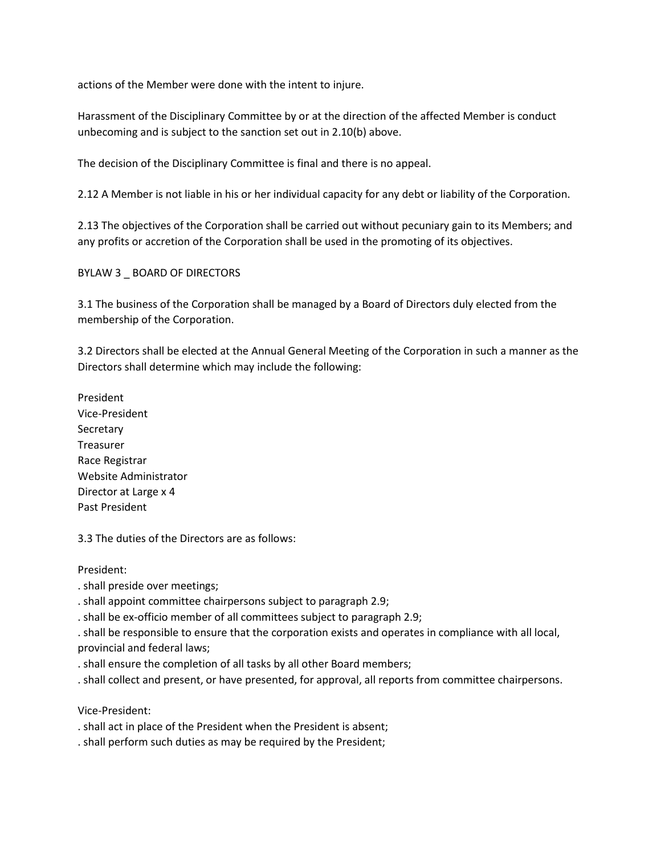actions of the Member were done with the intent to injure.

Harassment of the Disciplinary Committee by or at the direction of the affected Member is conduct unbecoming and is subject to the sanction set out in 2.10(b) above.

The decision of the Disciplinary Committee is final and there is no appeal.

2.12 A Member is not liable in his or her individual capacity for any debt or liability of the Corporation.

2.13 The objectives of the Corporation shall be carried out without pecuniary gain to its Members; and any profits or accretion of the Corporation shall be used in the promoting of its objectives.

BYLAW 3 \_ BOARD OF DIRECTORS

3.1 The business of the Corporation shall be managed by a Board of Directors duly elected from the membership of the Corporation.

3.2 Directors shall be elected at the Annual General Meeting of the Corporation in such a manner as the Directors shall determine which may include the following:

President Vice-President **Secretary** Treasurer Race Registrar Website Administrator Director at Large x 4 Past President

3.3 The duties of the Directors are as follows:

President:

. shall preside over meetings;

. shall appoint committee chairpersons subject to paragraph 2.9;

. shall be ex-officio member of all committees subject to paragraph 2.9;

. shall be responsible to ensure that the corporation exists and operates in compliance with all local, provincial and federal laws;

. shall ensure the completion of all tasks by all other Board members;

. shall collect and present, or have presented, for approval, all reports from committee chairpersons.

Vice-President:

. shall act in place of the President when the President is absent;

. shall perform such duties as may be required by the President;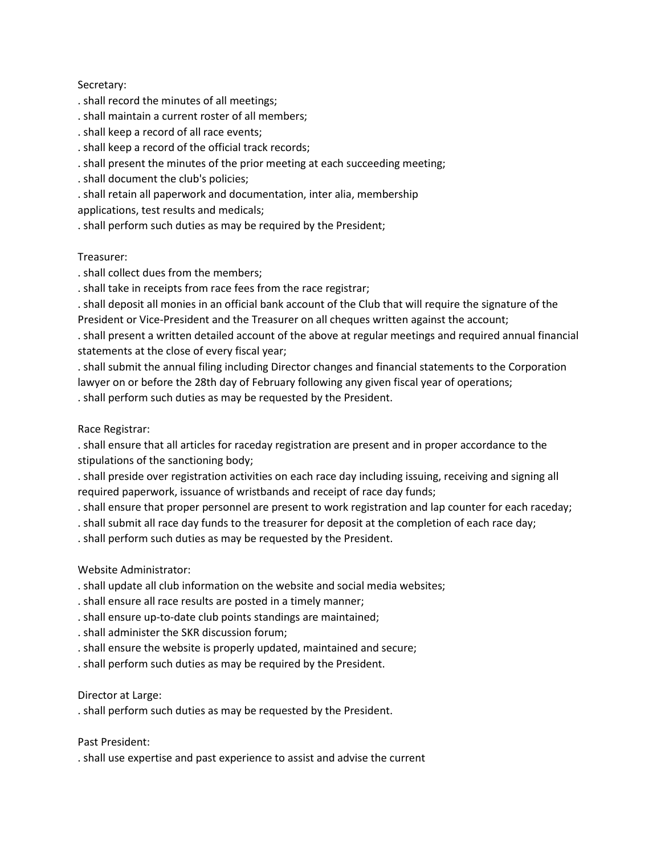## Secretary:

- . shall record the minutes of all meetings;
- . shall maintain a current roster of all members;
- . shall keep a record of all race events;
- . shall keep a record of the official track records;
- . shall present the minutes of the prior meeting at each succeeding meeting;
- . shall document the club's policies;
- . shall retain all paperwork and documentation, inter alia, membership
- applications, test results and medicals;
- . shall perform such duties as may be required by the President;

### Treasurer:

- . shall collect dues from the members;
- . shall take in receipts from race fees from the race registrar;
- . shall deposit all monies in an official bank account of the Club that will require the signature of the President or Vice-President and the Treasurer on all cheques written against the account;
- . shall present a written detailed account of the above at regular meetings and required annual financial statements at the close of every fiscal year;
- . shall submit the annual filing including Director changes and financial statements to the Corporation lawyer on or before the 28th day of February following any given fiscal year of operations;
- . shall perform such duties as may be requested by the President.

### Race Registrar:

. shall ensure that all articles for raceday registration are present and in proper accordance to the stipulations of the sanctioning body;

- . shall preside over registration activities on each race day including issuing, receiving and signing all required paperwork, issuance of wristbands and receipt of race day funds;
- . shall ensure that proper personnel are present to work registration and lap counter for each raceday;
- . shall submit all race day funds to the treasurer for deposit at the completion of each race day;
- . shall perform such duties as may be requested by the President.

## Website Administrator:

- . shall update all club information on the website and social media websites;
- . shall ensure all race results are posted in a timely manner;
- . shall ensure up-to-date club points standings are maintained;
- . shall administer the SKR discussion forum;
- . shall ensure the website is properly updated, maintained and secure;
- . shall perform such duties as may be required by the President.

## Director at Large:

. shall perform such duties as may be requested by the President.

### Past President:

. shall use expertise and past experience to assist and advise the current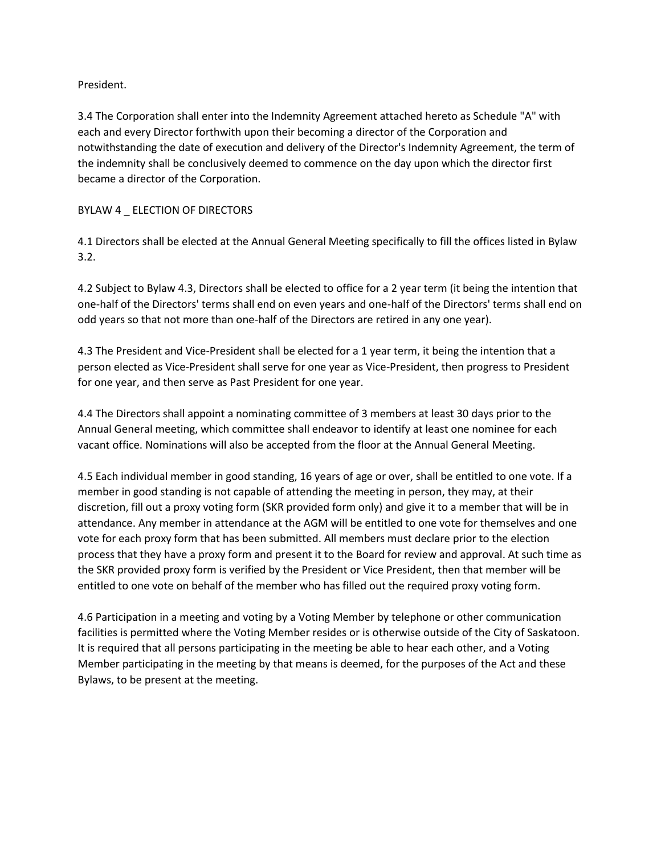## President.

3.4 The Corporation shall enter into the Indemnity Agreement attached hereto as Schedule "A" with each and every Director forthwith upon their becoming a director of the Corporation and notwithstanding the date of execution and delivery of the Director's Indemnity Agreement, the term of the indemnity shall be conclusively deemed to commence on the day upon which the director first became a director of the Corporation.

## BYLAW 4 \_ ELECTION OF DIRECTORS

4.1 Directors shall be elected at the Annual General Meeting specifically to fill the offices listed in Bylaw 3.2.

4.2 Subject to Bylaw 4.3, Directors shall be elected to office for a 2 year term (it being the intention that one-half of the Directors' terms shall end on even years and one-half of the Directors' terms shall end on odd years so that not more than one-half of the Directors are retired in any one year).

4.3 The President and Vice-President shall be elected for a 1 year term, it being the intention that a person elected as Vice-President shall serve for one year as Vice-President, then progress to President for one year, and then serve as Past President for one year.

4.4 The Directors shall appoint a nominating committee of 3 members at least 30 days prior to the Annual General meeting, which committee shall endeavor to identify at least one nominee for each vacant office. Nominations will also be accepted from the floor at the Annual General Meeting.

4.5 Each individual member in good standing, 16 years of age or over, shall be entitled to one vote. If a member in good standing is not capable of attending the meeting in person, they may, at their discretion, fill out a proxy voting form (SKR provided form only) and give it to a member that will be in attendance. Any member in attendance at the AGM will be entitled to one vote for themselves and one vote for each proxy form that has been submitted. All members must declare prior to the election process that they have a proxy form and present it to the Board for review and approval. At such time as the SKR provided proxy form is verified by the President or Vice President, then that member will be entitled to one vote on behalf of the member who has filled out the required proxy voting form.

4.6 Participation in a meeting and voting by a Voting Member by telephone or other communication facilities is permitted where the Voting Member resides or is otherwise outside of the City of Saskatoon. It is required that all persons participating in the meeting be able to hear each other, and a Voting Member participating in the meeting by that means is deemed, for the purposes of the Act and these Bylaws, to be present at the meeting.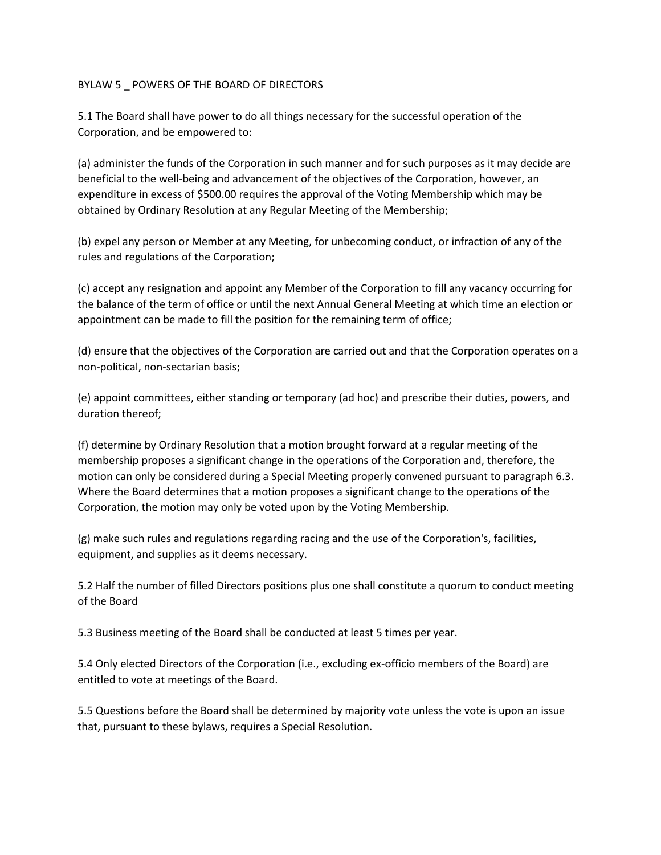### BYLAW 5 POWERS OF THE BOARD OF DIRECTORS

5.1 The Board shall have power to do all things necessary for the successful operation of the Corporation, and be empowered to:

(a) administer the funds of the Corporation in such manner and for such purposes as it may decide are beneficial to the well-being and advancement of the objectives of the Corporation, however, an expenditure in excess of \$500.00 requires the approval of the Voting Membership which may be obtained by Ordinary Resolution at any Regular Meeting of the Membership;

(b) expel any person or Member at any Meeting, for unbecoming conduct, or infraction of any of the rules and regulations of the Corporation;

(c) accept any resignation and appoint any Member of the Corporation to fill any vacancy occurring for the balance of the term of office or until the next Annual General Meeting at which time an election or appointment can be made to fill the position for the remaining term of office;

(d) ensure that the objectives of the Corporation are carried out and that the Corporation operates on a non-political, non-sectarian basis;

(e) appoint committees, either standing or temporary (ad hoc) and prescribe their duties, powers, and duration thereof;

(f) determine by Ordinary Resolution that a motion brought forward at a regular meeting of the membership proposes a significant change in the operations of the Corporation and, therefore, the motion can only be considered during a Special Meeting properly convened pursuant to paragraph 6.3. Where the Board determines that a motion proposes a significant change to the operations of the Corporation, the motion may only be voted upon by the Voting Membership.

(g) make such rules and regulations regarding racing and the use of the Corporation's, facilities, equipment, and supplies as it deems necessary.

5.2 Half the number of filled Directors positions plus one shall constitute a quorum to conduct meeting of the Board

5.3 Business meeting of the Board shall be conducted at least 5 times per year.

5.4 Only elected Directors of the Corporation (i.e., excluding ex-officio members of the Board) are entitled to vote at meetings of the Board.

5.5 Questions before the Board shall be determined by majority vote unless the vote is upon an issue that, pursuant to these bylaws, requires a Special Resolution.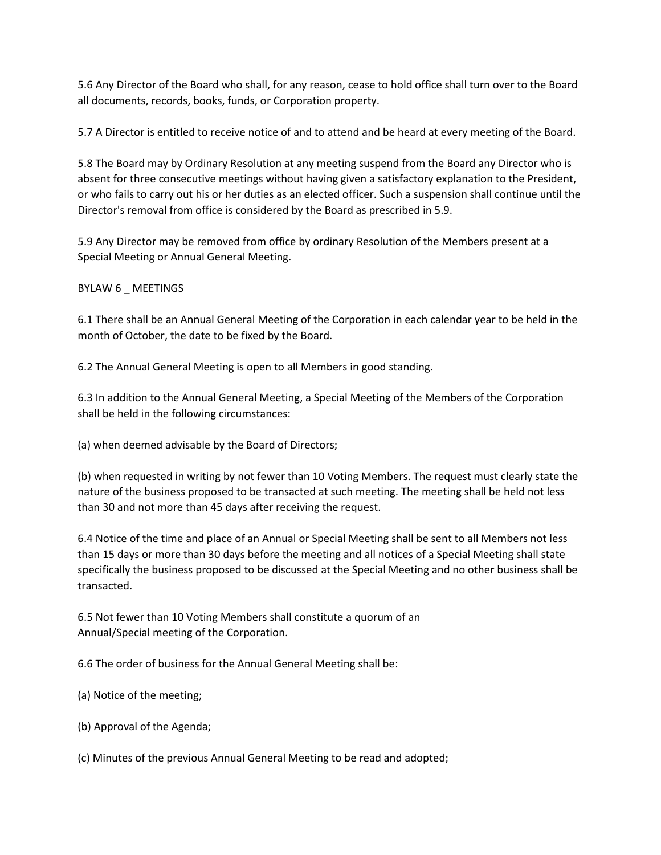5.6 Any Director of the Board who shall, for any reason, cease to hold office shall turn over to the Board all documents, records, books, funds, or Corporation property.

5.7 A Director is entitled to receive notice of and to attend and be heard at every meeting of the Board.

5.8 The Board may by Ordinary Resolution at any meeting suspend from the Board any Director who is absent for three consecutive meetings without having given a satisfactory explanation to the President, or who fails to carry out his or her duties as an elected officer. Such a suspension shall continue until the Director's removal from office is considered by the Board as prescribed in 5.9.

5.9 Any Director may be removed from office by ordinary Resolution of the Members present at a Special Meeting or Annual General Meeting.

## BYLAW 6 \_ MEETINGS

6.1 There shall be an Annual General Meeting of the Corporation in each calendar year to be held in the month of October, the date to be fixed by the Board.

6.2 The Annual General Meeting is open to all Members in good standing.

6.3 In addition to the Annual General Meeting, a Special Meeting of the Members of the Corporation shall be held in the following circumstances:

(a) when deemed advisable by the Board of Directors;

(b) when requested in writing by not fewer than 10 Voting Members. The request must clearly state the nature of the business proposed to be transacted at such meeting. The meeting shall be held not less than 30 and not more than 45 days after receiving the request.

6.4 Notice of the time and place of an Annual or Special Meeting shall be sent to all Members not less than 15 days or more than 30 days before the meeting and all notices of a Special Meeting shall state specifically the business proposed to be discussed at the Special Meeting and no other business shall be transacted.

6.5 Not fewer than 10 Voting Members shall constitute a quorum of an Annual/Special meeting of the Corporation.

6.6 The order of business for the Annual General Meeting shall be:

- (a) Notice of the meeting;
- (b) Approval of the Agenda;
- (c) Minutes of the previous Annual General Meeting to be read and adopted;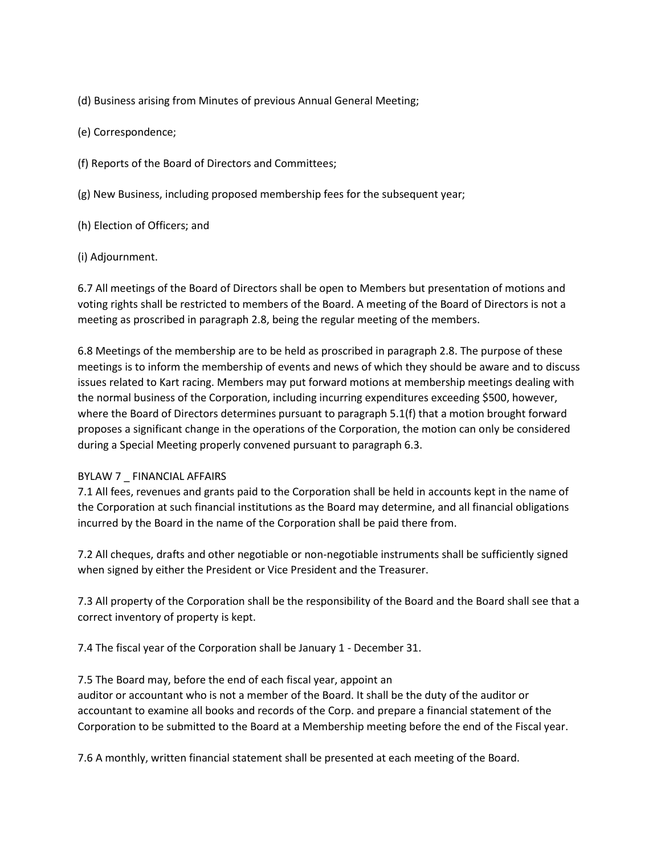(d) Business arising from Minutes of previous Annual General Meeting;

(e) Correspondence;

(f) Reports of the Board of Directors and Committees;

(g) New Business, including proposed membership fees for the subsequent year;

(h) Election of Officers; and

(i) Adjournment.

6.7 All meetings of the Board of Directors shall be open to Members but presentation of motions and voting rights shall be restricted to members of the Board. A meeting of the Board of Directors is not a meeting as proscribed in paragraph 2.8, being the regular meeting of the members.

6.8 Meetings of the membership are to be held as proscribed in paragraph 2.8. The purpose of these meetings is to inform the membership of events and news of which they should be aware and to discuss issues related to Kart racing. Members may put forward motions at membership meetings dealing with the normal business of the Corporation, including incurring expenditures exceeding \$500, however, where the Board of Directors determines pursuant to paragraph 5.1(f) that a motion brought forward proposes a significant change in the operations of the Corporation, the motion can only be considered during a Special Meeting properly convened pursuant to paragraph 6.3.

### BYLAW 7 \_ FINANCIAL AFFAIRS

7.1 All fees, revenues and grants paid to the Corporation shall be held in accounts kept in the name of the Corporation at such financial institutions as the Board may determine, and all financial obligations incurred by the Board in the name of the Corporation shall be paid there from.

7.2 All cheques, drafts and other negotiable or non-negotiable instruments shall be sufficiently signed when signed by either the President or Vice President and the Treasurer.

7.3 All property of the Corporation shall be the responsibility of the Board and the Board shall see that a correct inventory of property is kept.

7.4 The fiscal year of the Corporation shall be January 1 - December 31.

7.5 The Board may, before the end of each fiscal year, appoint an

auditor or accountant who is not a member of the Board. It shall be the duty of the auditor or accountant to examine all books and records of the Corp. and prepare a financial statement of the Corporation to be submitted to the Board at a Membership meeting before the end of the Fiscal year.

7.6 A monthly, written financial statement shall be presented at each meeting of the Board.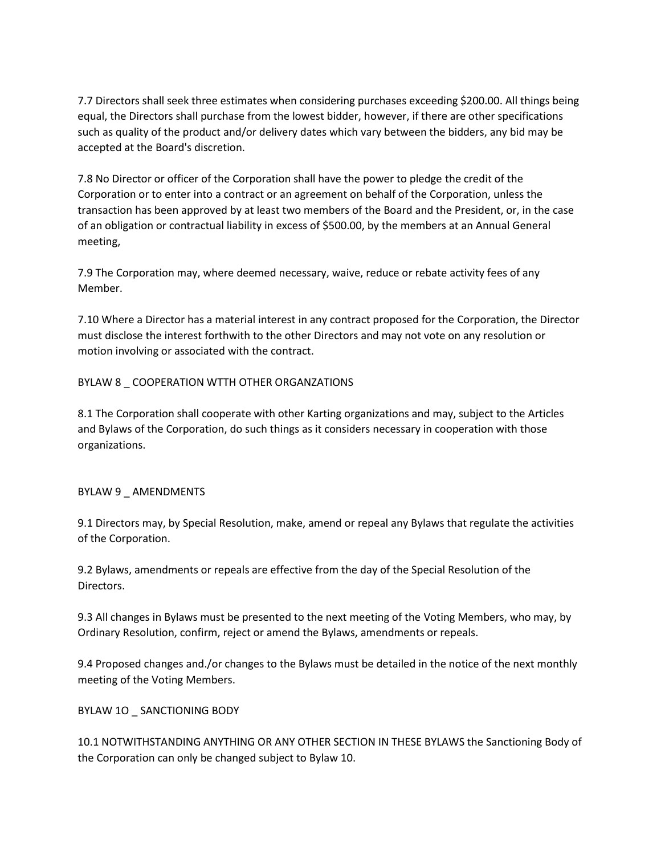7.7 Directors shall seek three estimates when considering purchases exceeding \$200.00. All things being equal, the Directors shall purchase from the lowest bidder, however, if there are other specifications such as quality of the product and/or delivery dates which vary between the bidders, any bid may be accepted at the Board's discretion.

7.8 No Director or officer of the Corporation shall have the power to pledge the credit of the Corporation or to enter into a contract or an agreement on behalf of the Corporation, unless the transaction has been approved by at least two members of the Board and the President, or, in the case of an obligation or contractual liability in excess of \$500.00, by the members at an Annual General meeting,

7.9 The Corporation may, where deemed necessary, waive, reduce or rebate activity fees of any Member.

7.10 Where a Director has a material interest in any contract proposed for the Corporation, the Director must disclose the interest forthwith to the other Directors and may not vote on any resolution or motion involving or associated with the contract.

## BYLAW 8 \_ COOPERATION WTTH OTHER ORGANZATIONS

8.1 The Corporation shall cooperate with other Karting organizations and may, subject to the Articles and Bylaws of the Corporation, do such things as it considers necessary in cooperation with those organizations.

### BYLAW 9 AMENDMENTS

9.1 Directors may, by Special Resolution, make, amend or repeal any Bylaws that regulate the activities of the Corporation.

9.2 Bylaws, amendments or repeals are effective from the day of the Special Resolution of the Directors.

9.3 All changes in Bylaws must be presented to the next meeting of the Voting Members, who may, by Ordinary Resolution, confirm, reject or amend the Bylaws, amendments or repeals.

9.4 Proposed changes and./or changes to the Bylaws must be detailed in the notice of the next monthly meeting of the Voting Members.

### BYLAW 1O \_ SANCTIONING BODY

10.1 NOTWITHSTANDING ANYTHING OR ANY OTHER SECTION IN THESE BYLAWS the Sanctioning Body of the Corporation can only be changed subject to Bylaw 10.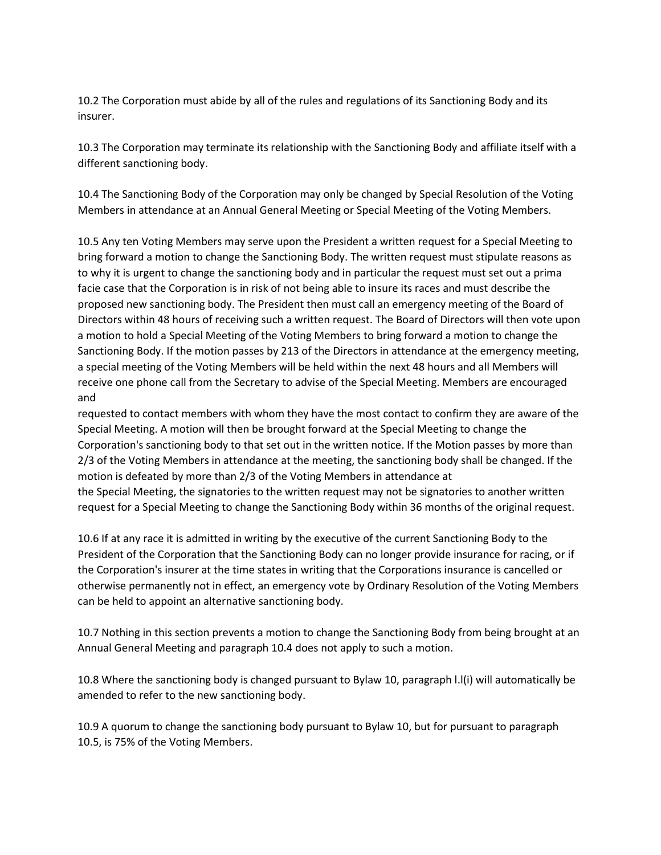10.2 The Corporation must abide by all of the rules and regulations of its Sanctioning Body and its insurer.

10.3 The Corporation may terminate its relationship with the Sanctioning Body and affiliate itself with a different sanctioning body.

10.4 The Sanctioning Body of the Corporation may only be changed by Special Resolution of the Voting Members in attendance at an Annual General Meeting or Special Meeting of the Voting Members.

10.5 Any ten Voting Members may serve upon the President a written request for a Special Meeting to bring forward a motion to change the Sanctioning Body. The written request must stipulate reasons as to why it is urgent to change the sanctioning body and in particular the request must set out a prima facie case that the Corporation is in risk of not being able to insure its races and must describe the proposed new sanctioning body. The President then must call an emergency meeting of the Board of Directors within 48 hours of receiving such a written request. The Board of Directors will then vote upon a motion to hold a Special Meeting of the Voting Members to bring forward a motion to change the Sanctioning Body. If the motion passes by 213 of the Directors in attendance at the emergency meeting, a special meeting of the Voting Members will be held within the next 48 hours and all Members will receive one phone call from the Secretary to advise of the Special Meeting. Members are encouraged and

requested to contact members with whom they have the most contact to confirm they are aware of the Special Meeting. A motion will then be brought forward at the Special Meeting to change the Corporation's sanctioning body to that set out in the written notice. If the Motion passes by more than 2/3 of the Voting Members in attendance at the meeting, the sanctioning body shall be changed. If the motion is defeated by more than 2/3 of the Voting Members in attendance at the Special Meeting, the signatories to the written request may not be signatories to another written request for a Special Meeting to change the Sanctioning Body within 36 months of the original request.

10.6 If at any race it is admitted in writing by the executive of the current Sanctioning Body to the President of the Corporation that the Sanctioning Body can no longer provide insurance for racing, or if the Corporation's insurer at the time states in writing that the Corporations insurance is cancelled or otherwise permanently not in effect, an emergency vote by Ordinary Resolution of the Voting Members can be held to appoint an alternative sanctioning body.

10.7 Nothing in this section prevents a motion to change the Sanctioning Body from being brought at an Annual General Meeting and paragraph 10.4 does not apply to such a motion.

10.8 Where the sanctioning body is changed pursuant to Bylaw 10, paragraph l.l(i) will automatically be amended to refer to the new sanctioning body.

10.9 A quorum to change the sanctioning body pursuant to Bylaw 10, but for pursuant to paragraph 10.5, is 75% of the Voting Members.